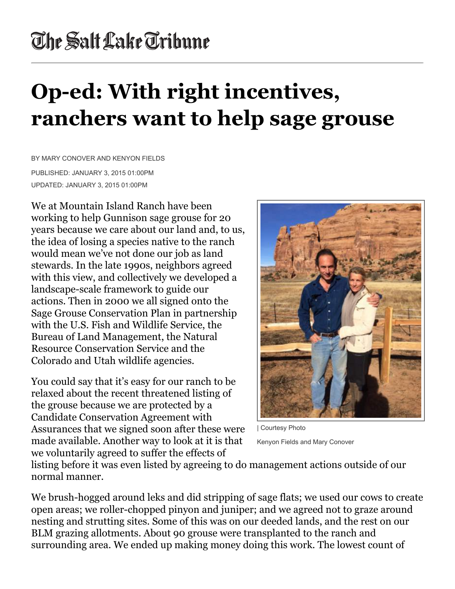## The Salt Lake Tribune

## **Op-ed: With right incentives, ranchers want to help sage grouse**

BY MARY CONOVER AND KENYON FIELDS

PUBLISHED: JANUARY 3, 2015 01:00PM UPDATED: JANUARY 3, 2015 01:00PM

We at Mountain Island Ranch have been working to help Gunnison sage grouse for 20 years because we care about our land and, to us, the idea of losing a species native to the ranch would mean we've not done our job as land stewards. In the late 1990s, neighbors agreed with this view, and collectively we developed a landscape-scale framework to guide our actions. Then in 2000 we all signed onto the Sage Grouse Conservation Plan in partnership with the U.S. Fish and Wildlife Service, the Bureau of Land Management, the Natural Resource Conservation Service and the Colorado and Utah wildlife agencies.

You could say that it's easy for our ranch to be relaxed about the recent threatened listing of the grouse because we are protected by a Candidate Conservation Agreement with Assurances that we signed soon after these were made available. Another way to look at it is that we voluntarily agreed to suffer the effects of



| Courtesy Photo

Kenyon Fields and Mary Conover

listing before it was even listed by agreeing to do management actions outside of our normal manner.

We brush-hogged around leks and did stripping of sage flats; we used our cows to create open areas; we roller-chopped pinyon and juniper; and we agreed not to graze around nesting and strutting sites. Some of this was on our deeded lands, and the rest on our BLM grazing allotments. About 90 grouse were transplanted to the ranch and surrounding area. We ended up making money doing this work. The lowest count of